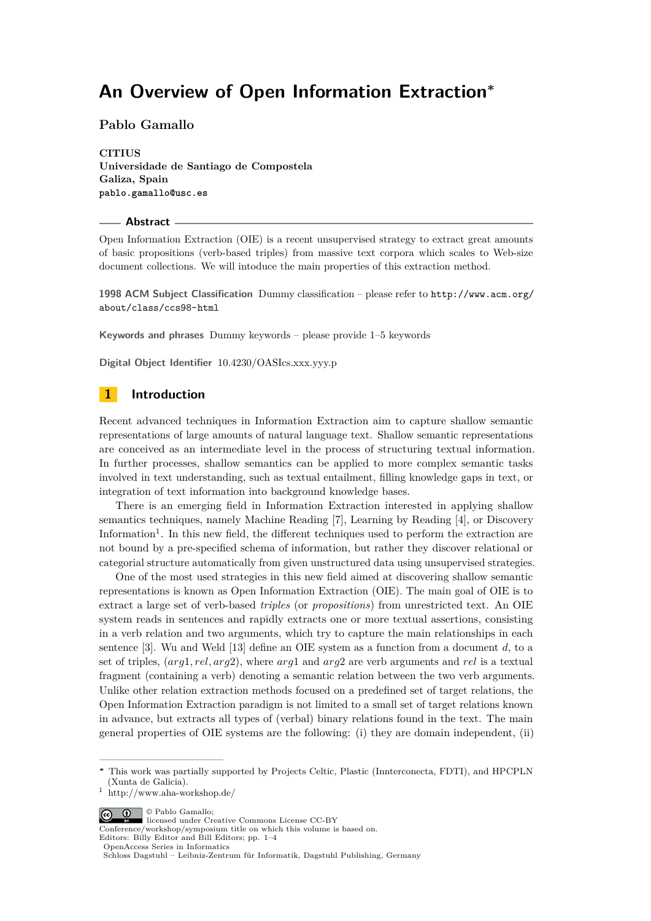# **An Overview of Open Information Extraction<sup>∗</sup>**

### **Pablo Gamallo**

**CITIUS Universidade de Santiago de Compostela Galiza, Spain pablo.gamallo@usc.es**

#### **Abstract**

Open Information Extraction (OIE) is a recent unsupervised strategy to extract great amounts of basic propositions (verb-based triples) from massive text corpora which scales to Web-size document collections. We will intoduce the main properties of this extraction method.

**1998 ACM Subject Classification** Dummy classification – please refer to [http://www.acm.org/](http://www.acm.org/about/class/ccs98-html) [about/class/ccs98-html](http://www.acm.org/about/class/ccs98-html)

**Keywords and phrases** Dummy keywords – please provide 1–5 keywords

**Digital Object Identifier** [10.4230/OASIcs.xxx.yyy.p](http://dx.doi.org/10.4230/OASIcs.xxx.yyy.p)

### **1 Introduction**

Recent advanced techniques in Information Extraction aim to capture shallow semantic representations of large amounts of natural language text. Shallow semantic representations are conceived as an intermediate level in the process of structuring textual information. In further processes, shallow semantics can be applied to more complex semantic tasks involved in text understanding, such as textual entailment, filling knowledge gaps in text, or integration of text information into background knowledge bases.

There is an emerging field in Information Extraction interested in applying shallow semantics techniques, namely Machine Reading [\[7\]](#page-2-0), Learning by Reading [\[4\]](#page-2-1), or Discovery Information<sup>1</sup>. In this new field, the different techniques used to perform the extraction are not bound by a pre-specified schema of information, but rather they discover relational or categorial structure automatically from given unstructured data using unsupervised strategies.

One of the most used strategies in this new field aimed at discovering shallow semantic representations is known as Open Information Extraction (OIE). The main goal of OIE is to extract a large set of verb-based *triples* (or *propositions*) from unrestricted text. An OIE system reads in sentences and rapidly extracts one or more textual assertions, consisting in a verb relation and two arguments, which try to capture the main relationships in each sentence [\[3\]](#page-2-2). Wu and Weld [\[13\]](#page-3-0) define an OIE system as a function from a document *d*, to a set of triples, (*arg*1*, rel, arg*2), where *arg*1 and *arg*2 are verb arguments and *rel* is a textual fragment (containing a verb) denoting a semantic relation between the two verb arguments. Unlike other relation extraction methods focused on a predefined set of target relations, the Open Information Extraction paradigm is not limited to a small set of target relations known in advance, but extracts all types of (verbal) binary relations found in the text. The main general properties of OIE systems are the following: (i) they are domain independent, (ii)

© Pablo Gamallo;  $\boxed{6}$ 

Conference/workshop/symposium title on which this volume is based on.

Editors: Billy Editor and Bill Editors; pp. 1[–4](#page-3-1) [OpenAccess Series in Informatics](http://www.dagstuhl.de/oasics/)

**<sup>∗</sup>** This work was partially supported by Projects Celtic, Plastic (Innterconecta, FDTI), and HPCPLN (Xunta de Galicia).

<sup>1</sup> http://www.aha-workshop.de/

licensed under Creative Commons License CC-BY

[Schloss Dagstuhl – Leibniz-Zentrum für Informatik, Dagstuhl Publishing, Germany](http://www.dagstuhl.de/)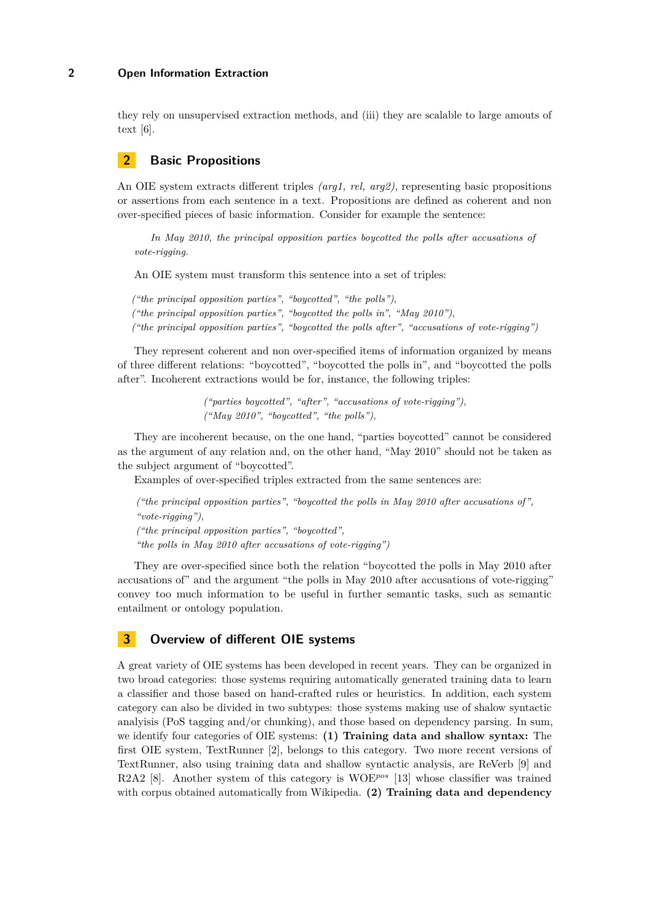### **2 Open Information Extraction**

they rely on unsupervised extraction methods, and (iii) they are scalable to large amouts of text [\[6\]](#page-2-3).

# **2 Basic Propositions**

An OIE system extracts different triples *(arg1, rel, arg2)*, representing basic propositions or assertions from each sentence in a text. Propositions are defined as coherent and non over-specified pieces of basic information. Consider for example the sentence:

*In May 2010, the principal opposition parties boycotted the polls after accusations of vote-rigging.*

An OIE system must transform this sentence into a set of triples:

*("the principal opposition parties", "boycotted", "the polls")*, *("the principal opposition parties", "boycotted the polls in", "May 2010")*, *("the principal opposition parties", "boycotted the polls after", "accusations of vote-rigging")*

They represent coherent and non over-specified items of information organized by means of three different relations: "boycotted", "boycotted the polls in", and "boycotted the polls after". Incoherent extractions would be for, instance, the following triples:

> *("parties boycotted", "after", "accusations of vote-rigging")*, *("May 2010", "boycotted", "the polls")*,

They are incoherent because, on the one hand, "parties boycotted" cannot be considered as the argument of any relation and, on the other hand, "May 2010" should not be taken as the subject argument of "boycotted".

Examples of over-specified triples extracted from the same sentences are:

*("the principal opposition parties", "boycotted the polls in May 2010 after accusations of", "vote-rigging")*, *("the principal opposition parties", "boycotted", "the polls in May 2010 after accusations of vote-rigging")*

They are over-specified since both the relation "boycotted the polls in May 2010 after accusations of" and the argument "the polls in May 2010 after accusations of vote-rigging" convey too much information to be useful in further semantic tasks, such as semantic entailment or ontology population.

# **3 Overview of different OIE systems**

A great variety of OIE systems has been developed in recent years. They can be organized in two broad categories: those systems requiring automatically generated training data to learn a classifier and those based on hand-crafted rules or heuristics. In addition, each system category can also be divided in two subtypes: those systems making use of shalow syntactic analyisis (PoS tagging and/or chunking), and those based on dependency parsing. In sum, we identify four categories of OIE systems: **(1) Training data and shallow syntax:** The first OIE system, TextRunner [\[2\]](#page-2-4), belongs to this category. Two more recent versions of TextRunner, also using training data and shallow syntactic analysis, are ReVerb [\[9\]](#page-2-5) and R2A2 [\[8\]](#page-2-6). Another system of this category is WOE*pos* [\[13\]](#page-3-0) whose classifier was trained with corpus obtained automatically from Wikipedia. **(2) Training data and dependency**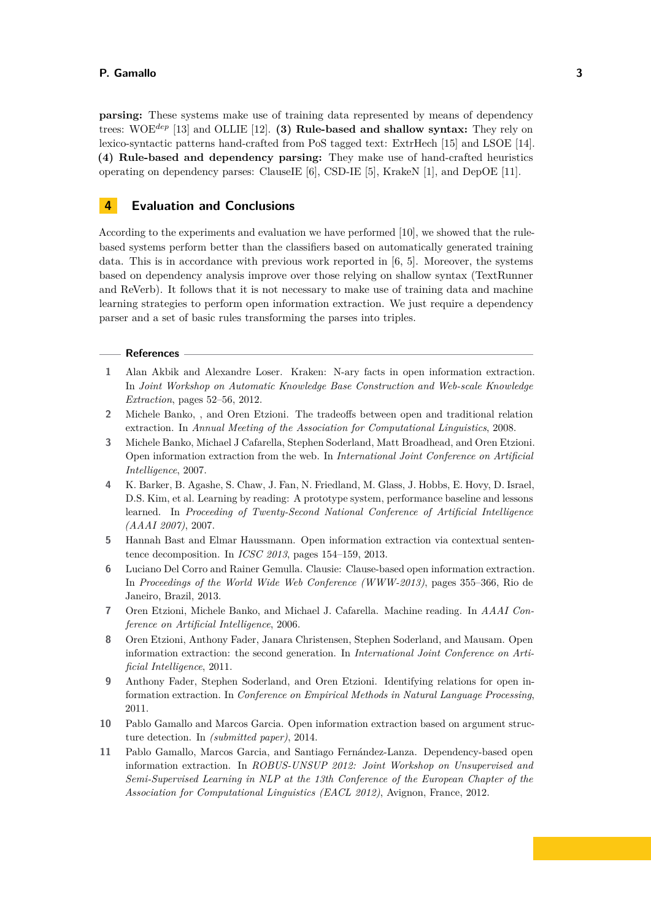#### **P. Gamallo 3**

**parsing:** These systems make use of training data represented by means of dependency trees: WOE*dep* [\[13\]](#page-3-0) and OLLIE [\[12\]](#page-3-2). **(3) Rule-based and shallow syntax:** They rely on lexico-syntactic patterns hand-crafted from PoS tagged text: ExtrHech [\[15\]](#page-3-3) and LSOE [\[14\]](#page-3-4). **(4) Rule-based and dependency parsing:** They make use of hand-crafted heuristics operating on dependency parses: ClauseIE [\[6\]](#page-2-3), CSD-IE [\[5\]](#page-2-7), KrakeN [\[1\]](#page-2-8), and DepOE [\[11\]](#page-2-9).

### **4 Evaluation and Conclusions**

According to the experiments and evaluation we have performed [\[10\]](#page-2-10), we showed that the rulebased systems perform better than the classifiers based on automatically generated training data. This is in accordance with previous work reported in [\[6,](#page-2-3) [5\]](#page-2-7). Moreover, the systems based on dependency analysis improve over those relying on shallow syntax (TextRunner and ReVerb). It follows that it is not necessary to make use of training data and machine learning strategies to perform open information extraction. We just require a dependency parser and a set of basic rules transforming the parses into triples.

### **References**

- <span id="page-2-8"></span>**1** Alan Akbik and Alexandre Loser. Kraken: N-ary facts in open information extraction. In *Joint Workshop on Automatic Knowledge Base Construction and Web-scale Knowledge Extraction*, pages 52–56, 2012.
- <span id="page-2-4"></span>**2** Michele Banko, , and Oren Etzioni. The tradeoffs between open and traditional relation extraction. In *Annual Meeting of the Association for Computational Linguistics*, 2008.
- <span id="page-2-2"></span>**3** Michele Banko, Michael J Cafarella, Stephen Soderland, Matt Broadhead, and Oren Etzioni. Open information extraction from the web. In *International Joint Conference on Artificial Intelligence*, 2007.
- <span id="page-2-1"></span>**4** K. Barker, B. Agashe, S. Chaw, J. Fan, N. Friedland, M. Glass, J. Hobbs, E. Hovy, D. Israel, D.S. Kim, et al. Learning by reading: A prototype system, performance baseline and lessons learned. In *Proceeding of Twenty-Second National Conference of Artificial Intelligence (AAAI 2007)*, 2007.
- <span id="page-2-7"></span>**5** Hannah Bast and Elmar Haussmann. Open information extraction via contextual sententence decomposition. In *ICSC 2013*, pages 154–159, 2013.
- <span id="page-2-3"></span>**6** Luciano Del Corro and Rainer Gemulla. Clausie: Clause-based open information extraction. In *Proceedings of the World Wide Web Conference (WWW-2013)*, pages 355–366, Rio de Janeiro, Brazil, 2013.
- <span id="page-2-0"></span>**7** Oren Etzioni, Michele Banko, and Michael J. Cafarella. Machine reading. In *AAAI Conference on Artificial Intelligence*, 2006.
- <span id="page-2-6"></span>**8** Oren Etzioni, Anthony Fader, Janara Christensen, Stephen Soderland, and Mausam. Open information extraction: the second generation. In *International Joint Conference on Artificial Intelligence*, 2011.
- <span id="page-2-5"></span>**9** Anthony Fader, Stephen Soderland, and Oren Etzioni. Identifying relations for open information extraction. In *Conference on Empirical Methods in Natural Language Processing*, 2011.
- <span id="page-2-10"></span>**10** Pablo Gamallo and Marcos Garcia. Open information extraction based on argument structure detection. In *(submitted paper)*, 2014.
- <span id="page-2-9"></span>**11** Pablo Gamallo, Marcos Garcia, and Santiago Fernández-Lanza. Dependency-based open information extraction. In *ROBUS-UNSUP 2012: Joint Workshop on Unsupervised and Semi-Supervised Learning in NLP at the 13th Conference of the European Chapter of the Association for Computational Linguistics (EACL 2012)*, Avignon, France, 2012.